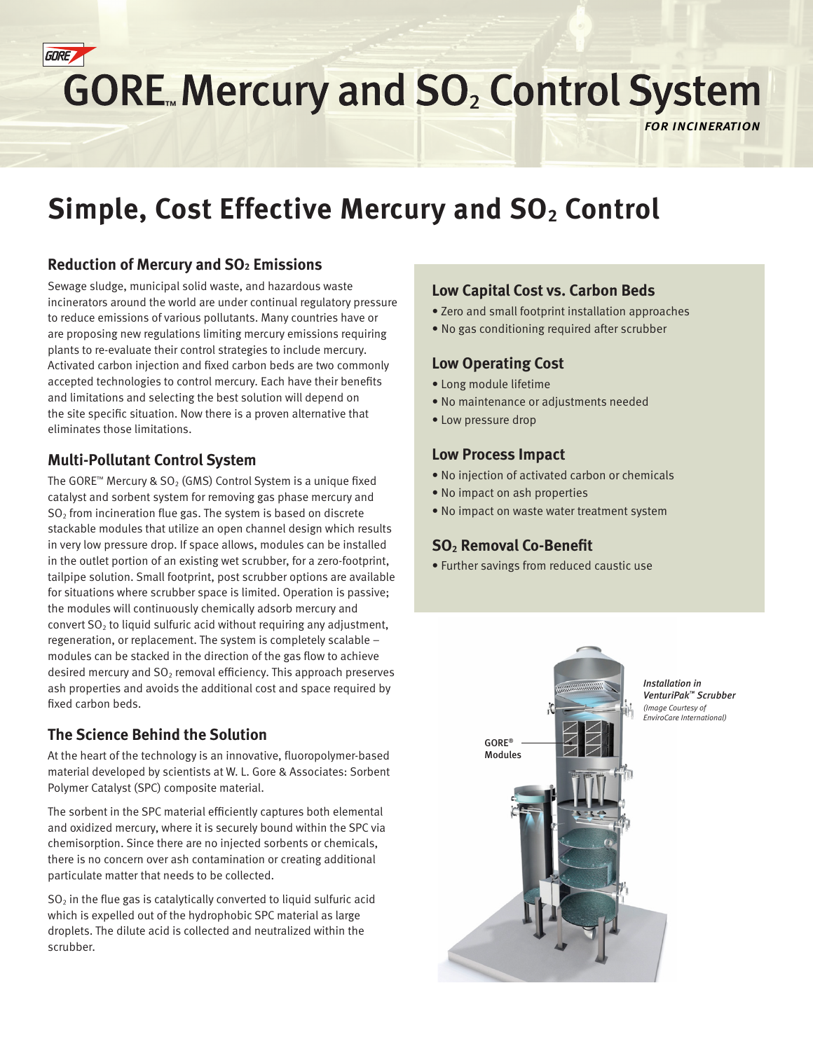

# **GORE. Mercury and SO<sub>2</sub> Control System**

*for incineration*

## **Simple, Cost Effective Mercury and SO<sub>2</sub> Control**

#### **Reduction of Mercury and SO2 Emissions**

Sewage sludge, municipal solid waste, and hazardous waste incinerators around the world are under continual regulatory pressure to reduce emissions of various pollutants. Many countries have or are proposing new regulations limiting mercury emissions requiring plants to re-evaluate their control strategies to include mercury. Activated carbon injection and fixed carbon beds are two commonly accepted technologies to control mercury. Each have their benefits and limitations and selecting the best solution will depend on the site specific situation. Now there is a proven alternative that eliminates those limitations.

#### **Multi-Pollutant Control System**

The GORE™ Mercury & SO<sub>2</sub> (GMS) Control System is a unique fixed catalyst and sorbent system for removing gas phase mercury and  $SO<sub>2</sub>$  from incineration flue gas. The system is based on discrete stackable modules that utilize an open channel design which results in very low pressure drop. If space allows, modules can be installed in the outlet portion of an existing wet scrubber, for a zero-footprint, tailpipe solution. Small footprint, post scrubber options are available for situations where scrubber space is limited. Operation is passive; the modules will continuously chemically adsorb mercury and convert  $SO<sub>2</sub>$  to liquid sulfuric acid without requiring any adjustment, regeneration, or replacement. The system is completely scalable – modules can be stacked in the direction of the gas flow to achieve desired mercury and  $SO<sub>2</sub>$  removal efficiency. This approach preserves ash properties and avoids the additional cost and space required by fixed carbon beds.

#### **The Science Behind the Solution**

At the heart of the technology is an innovative, fluoropolymer-based material developed by scientists at W. L. Gore & Associates: Sorbent Polymer Catalyst (SPC) composite material.

The sorbent in the SPC material efficiently captures both elemental and oxidized mercury, where it is securely bound within the SPC via chemisorption. Since there are no injected sorbents or chemicals, there is no concern over ash contamination or creating additional particulate matter that needs to be collected.

 $SO<sub>2</sub>$  in the flue gas is catalytically converted to liquid sulfuric acid which is expelled out of the hydrophobic SPC material as large droplets. The dilute acid is collected and neutralized within the scrubber.

#### **Low Capital Cost vs. Carbon Beds**

- Zero and small footprint installation approaches
- No gas conditioning required after scrubber

#### **Low Operating Cost**

- Long module lifetime
- No maintenance or adjustments needed
- Low pressure drop

#### **Low Process Impact**

- No injection of activated carbon or chemicals
- No impact on ash properties
- No impact on waste water treatment system

#### **SO2 Removal Co-Benefit**

• Further savings from reduced caustic use